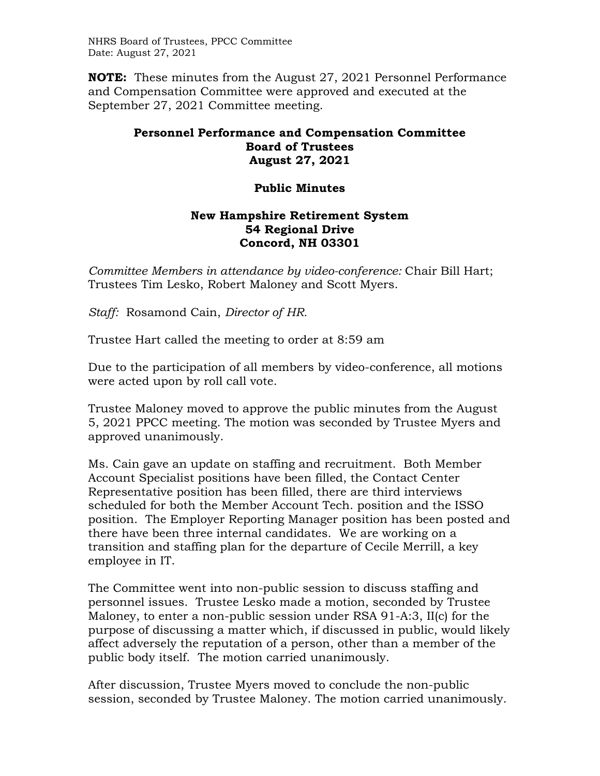NHRS Board of Trustees, PPCC Committee Date: August 27, 2021

**NOTE:** These minutes from the August 27, 2021 Personnel Performance and Compensation Committee were approved and executed at the September 27, 2021 Committee meeting.

## **Personnel Performance and Compensation Committee Board of Trustees August 27, 2021**

## **Public Minutes**

## **New Hampshire Retirement System 54 Regional Drive Concord, NH 03301**

*Committee Members in attendance by video-conference:* Chair Bill Hart; Trustees Tim Lesko, Robert Maloney and Scott Myers.

*Staff:* Rosamond Cain, *Director of HR.*

Trustee Hart called the meeting to order at 8:59 am

Due to the participation of all members by video-conference, all motions were acted upon by roll call vote.

Trustee Maloney moved to approve the public minutes from the August 5, 2021 PPCC meeting. The motion was seconded by Trustee Myers and approved unanimously.

Ms. Cain gave an update on staffing and recruitment. Both Member Account Specialist positions have been filled, the Contact Center Representative position has been filled, there are third interviews scheduled for both the Member Account Tech. position and the ISSO position. The Employer Reporting Manager position has been posted and there have been three internal candidates. We are working on a transition and staffing plan for the departure of Cecile Merrill, a key employee in IT.

The Committee went into non-public session to discuss staffing and personnel issues. Trustee Lesko made a motion, seconded by Trustee Maloney, to enter a non-public session under RSA 91-A:3, II(c) for the purpose of discussing a matter which, if discussed in public, would likely affect adversely the reputation of a person, other than a member of the public body itself. The motion carried unanimously.

After discussion, Trustee Myers moved to conclude the non-public session, seconded by Trustee Maloney. The motion carried unanimously.